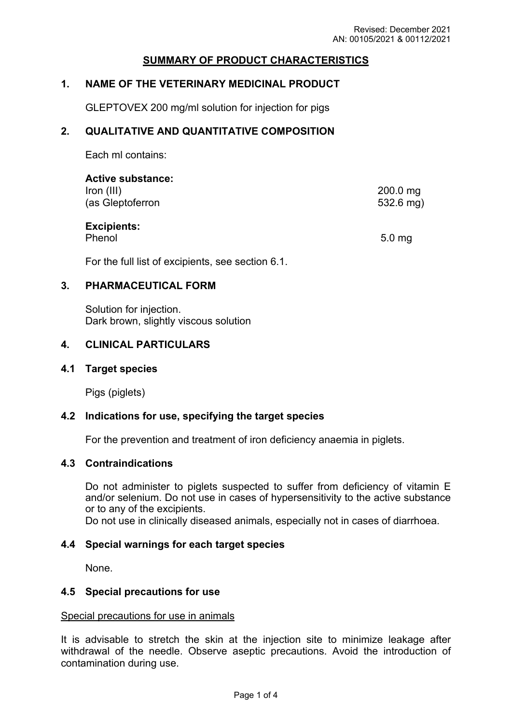# **SUMMARY OF PRODUCT CHARACTERISTICS**

## **1. NAME OF THE VETERINARY MEDICINAL PRODUCT**

GLEPTOVEX 200 mg/ml solution for injection for pigs

## **2. QUALITATIVE AND QUANTITATIVE COMPOSITION**

Each ml contains:

| <b>Active substance:</b><br>Iron (III)<br>(as Gleptoferron                                                    | $200.0$ mg<br>$532.6$ mg) |
|---------------------------------------------------------------------------------------------------------------|---------------------------|
| <b>Excipients:</b><br>Phenol                                                                                  | 5.0 <sub>mg</sub>         |
| $\blacksquare$ and $\blacksquare$ and $\blacksquare$ and $\blacksquare$ and $\blacksquare$ and $\blacksquare$ |                           |

For the full list of excipients, see section 6.1.

## **3. PHARMACEUTICAL FORM**

Solution for injection. Dark brown, slightly viscous solution

## **4. CLINICAL PARTICULARS**

### **4.1 Target species**

Pigs (piglets)

### **4.2 Indications for use, specifying the target species**

For the prevention and treatment of iron deficiency anaemia in piglets.

### **4.3 Contraindications**

Do not administer to piglets suspected to suffer from deficiency of vitamin E and/or selenium. Do not use in cases of hypersensitivity to the active substance or to any of the excipients.

Do not use in clinically diseased animals, especially not in cases of diarrhoea.

### **4.4 Special warnings for each target species**

None.

### **4.5 Special precautions for use**

### Special precautions for use in animals

It is advisable to stretch the skin at the injection site to minimize leakage after withdrawal of the needle. Observe aseptic precautions. Avoid the introduction of contamination during use.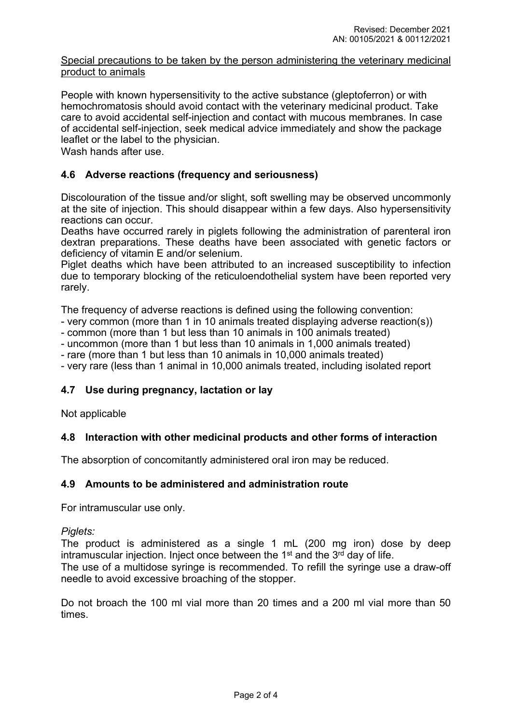## Special precautions to be taken by the person administering the veterinary medicinal product to animals

People with known hypersensitivity to the active substance (gleptoferron) or with hemochromatosis should avoid contact with the veterinary medicinal product. Take care to avoid accidental self-injection and contact with mucous membranes. In case of accidental self-injection, seek medical advice immediately and show the package leaflet or the label to the physician.

Wash hands after use.

# **4.6 Adverse reactions (frequency and seriousness)**

Discolouration of the tissue and/or slight, soft swelling may be observed uncommonly at the site of injection. This should disappear within a few days. Also hypersensitivity reactions can occur.

Deaths have occurred rarely in piglets following the administration of parenteral iron dextran preparations. These deaths have been associated with genetic factors or deficiency of vitamin E and/or selenium.

Piglet deaths which have been attributed to an increased susceptibility to infection due to temporary blocking of the reticuloendothelial system have been reported very rarely.

The frequency of adverse reactions is defined using the following convention:

- very common (more than 1 in 10 animals treated displaying adverse reaction(s))

- common (more than 1 but less than 10 animals in 100 animals treated)

- uncommon (more than 1 but less than 10 animals in 1,000 animals treated)

- rare (more than 1 but less than 10 animals in 10,000 animals treated)

- very rare (less than 1 animal in 10,000 animals treated, including isolated report

# **4.7 Use during pregnancy, lactation or lay**

Not applicable

# **4.8 Interaction with other medicinal products and other forms of interaction**

The absorption of concomitantly administered oral iron may be reduced.

### **4.9 Amounts to be administered and administration route**

For intramuscular use only.

*Piglets:*

The product is administered as a single 1 mL (200 mg iron) dose by deep intramuscular injection. Inject once between the  $1<sup>st</sup>$  and the  $3<sup>rd</sup>$  day of life.

The use of a multidose syringe is recommended. To refill the syringe use a draw-off needle to avoid excessive broaching of the stopper.

Do not broach the 100 ml vial more than 20 times and a 200 ml vial more than 50 times.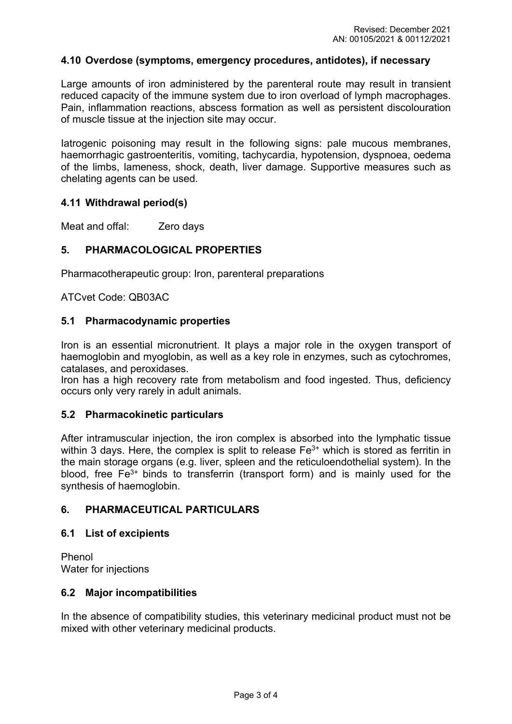## **4.10 Overdose (symptoms, emergency procedures, antidotes), if necessary**

Large amounts of iron administered by the parenteral route may result in transient reduced capacity of the immune system due to iron overload of lymph macrophages. Pain, inflammation reactions, abscess formation as well as persistent discolouration of muscle tissue at the injection site may occur.

Iatrogenic poisoning may result in the following signs: pale mucous membranes, haemorrhagic gastroenteritis, vomiting, tachycardia, hypotension, dyspnoea, oedema of the limbs, lameness, shock, death, liver damage. Supportive measures such as chelating agents can be used.

## **4.11 Withdrawal period(s)**

Meat and offal: **Zero days** 

# **5. PHARMACOLOGICAL PROPERTIES**

Pharmacotherapeutic group: [Iron, parenteral preparations](http://www.whocc.no/atcvet/atcvet_index/?code=QB03AC)

ATCvet Code: QB03AC

### **5.1 Pharmacodynamic properties**

Iron is an essential micronutrient. It plays a major role in the oxygen transport of haemoglobin and myoglobin, as well as a key role in enzymes, such as cytochromes, catalases, and peroxidases.

Iron has a high recovery rate from metabolism and food ingested. Thus, deficiency occurs only very rarely in adult animals.

# **5.2 Pharmacokinetic particulars**

After intramuscular injection, the iron complex is absorbed into the lymphatic tissue within 3 days. Here, the complex is split to release  $Fe<sup>3+</sup>$  which is stored as ferritin in the main storage organs (e.g. liver, spleen and the reticuloendothelial system). In the blood, free  $Fe<sup>3+</sup>$  binds to transferrin (transport form) and is mainly used for the synthesis of haemoglobin.

# **6. PHARMACEUTICAL PARTICULARS**

### **6.1 List of excipients**

Phenol Water for injections

### **6.2 Major incompatibilities**

In the absence of compatibility studies, this veterinary medicinal product must not be mixed with other veterinary medicinal products.